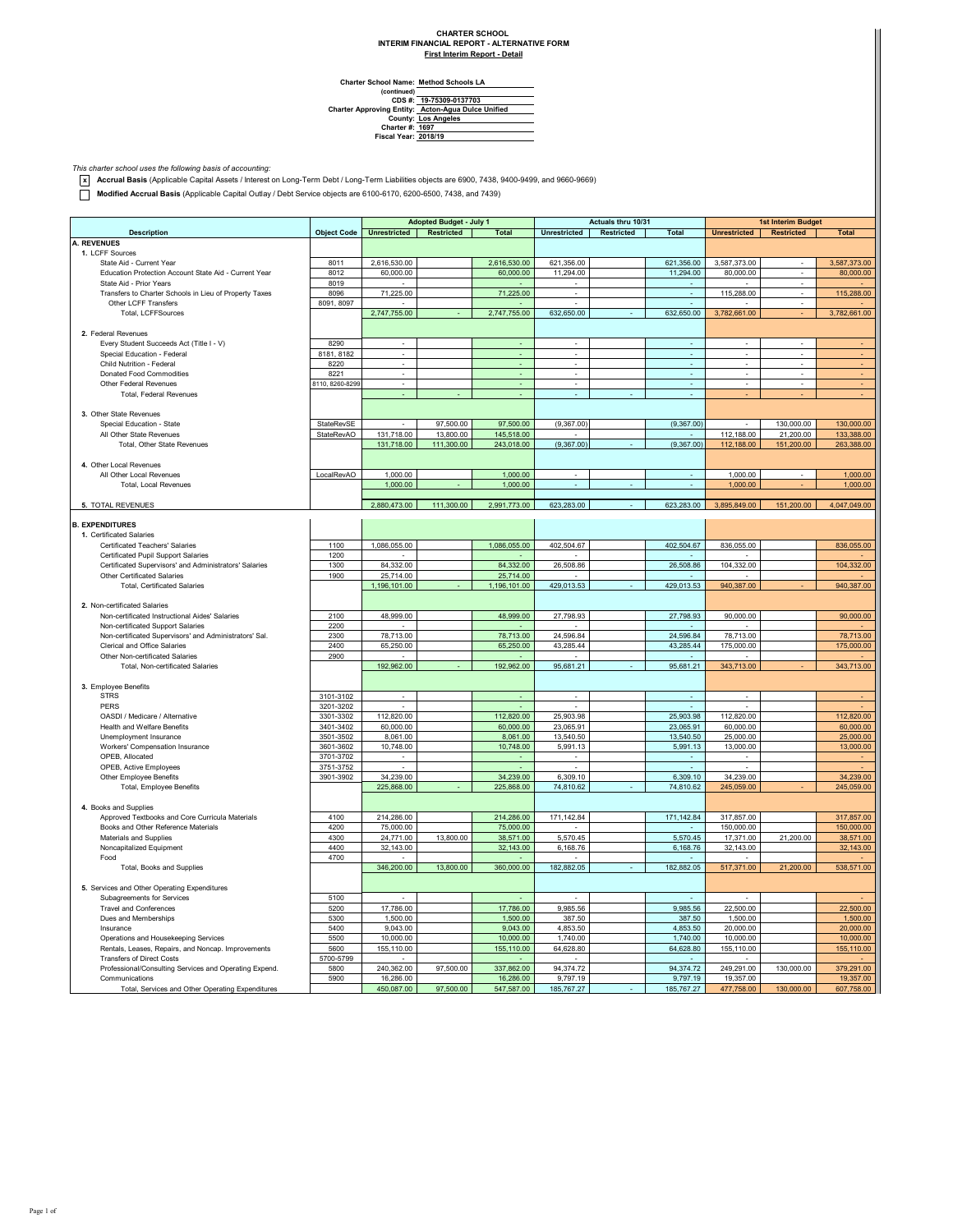## **CHARTER SCHOOL INTERIM FINANCIAL REPORT - ALTERNATIVE FORM**

**First Interim Report - Detail**

**Method Schools LA**

**Charter School Name: (continued) CDS #: Charter Approving Entity: County: Charter #: Fiscal Year: 19-75309-0137703 Acton-Agua Dulce Unified Los Angeles 1697 2018/19**

*This charter school uses the following basis of accounting:* **x Accrual Basis** (Applicable Capital Assets / Interest on Long-Term Debt / Long-Term Liabilities objects are 6900, 7438, 9400-9499, and 9660-9669)

**Modified Accrual Basis** (Applicable Capital Outlay / Debt Service objects are 6100-6170, 6200-6500, 7438, and 7439)

| Adopted Budget - July 1                                                  |                    |                          |            | Actuals thru 10/31       |                          |            | 1st Interim Budget      |                          |                                  |                |
|--------------------------------------------------------------------------|--------------------|--------------------------|------------|--------------------------|--------------------------|------------|-------------------------|--------------------------|----------------------------------|----------------|
|                                                                          |                    |                          |            |                          |                          |            |                         |                          |                                  |                |
| <b>Description</b>                                                       | <b>Object Code</b> | <b>Unrestricted</b>      | Restricted | <b>Total</b>             | <b>Unrestricted</b>      | Restricted | Total                   | <b>Unrestricted</b>      | <b>Restricted</b>                | <b>Total</b>   |
| <b>A. REVENUES</b>                                                       |                    |                          |            |                          |                          |            |                         |                          |                                  |                |
| 1. LCFF Sources<br>State Aid - Current Year                              |                    |                          |            |                          |                          |            |                         |                          |                                  |                |
| Education Protection Account State Aid - Current Year                    | 8011<br>8012       | 2,616,530.00             |            | 2,616,530.00             | 621,356.00<br>11,294.00  |            | 621,356.00<br>11,294.00 | 3,587,373.00             | ×                                | 3,587,373.00   |
| State Aid - Prior Years                                                  | 8019               | 60,000.00                |            | 60,000.00                |                          |            |                         | 80,000.00                | $\overline{\phantom{a}}$         | 80,000.00      |
|                                                                          |                    |                          |            |                          |                          |            |                         |                          | i,                               |                |
| Transfers to Charter Schools in Lieu of Property Taxes                   | 8096               | 71,225.00                |            | 71,225.00                |                          |            |                         | 115,288.00               |                                  | 115,288.00     |
| Other LCFF Transfers                                                     | 8091, 8097         |                          |            |                          |                          |            |                         |                          | $\mathcal{L}_{\mathcal{A}}$<br>÷ |                |
| Total, LCFFSources                                                       |                    | 2,747,755.00             |            | 2,747,755.00             | 632,650.00               |            | 632,650.00              | 3,782,661.00             |                                  | 3,782,661.00   |
|                                                                          |                    |                          |            |                          |                          |            |                         |                          |                                  |                |
| 2. Federal Revenues                                                      |                    |                          |            |                          |                          |            |                         |                          |                                  |                |
| Every Student Succeeds Act (Title I - V)                                 | 8290               | $\sim$                   |            | $\sim$                   | $\sim$                   |            | $\sim$                  | ×.                       | ÷.                               |                |
| Special Education - Federal                                              | 8181, 8182         | ×                        |            | ÷,                       | ä,                       |            | ÷.                      | ÷.                       | ×,                               |                |
| Child Nutrition - Federal                                                | 8220               | ×                        |            | ÷.                       | $\sim$                   |            | ÷.                      | ×                        | $\sim$                           | ٠              |
| Donated Food Commodities                                                 | 8221               | $\overline{\phantom{a}}$ |            | ×,                       | $\overline{\phantom{a}}$ |            | ÷,                      | $\overline{\phantom{a}}$ | $\overline{\phantom{a}}$         | ÷              |
| Other Federal Revenues                                                   | 8110, 8260-8299    | $\cdot$                  |            | $\overline{\phantom{a}}$ | $\overline{\phantom{a}}$ |            | $\sim$                  | $\overline{\phantom{a}}$ | $\overline{\phantom{a}}$         | $\blacksquare$ |
| <b>Total, Federal Revenues</b>                                           |                    |                          |            |                          |                          |            |                         |                          |                                  |                |
|                                                                          |                    |                          |            |                          |                          |            |                         |                          |                                  |                |
| 3. Other State Revenues                                                  |                    |                          |            |                          |                          |            |                         |                          |                                  |                |
| Special Education - State                                                | StateRevSE         |                          | 97,500.00  | 97,500.00                | (9,367.00)               |            | (9,367.00)              |                          | 130,000.00                       | 130,000.00     |
| All Other State Revenues                                                 | StateRevAO         | 131,718.00               | 13,800.00  | 145,518.00               |                          |            |                         | 112,188.00               | 21,200.00                        | 133,388.00     |
| Total, Other State Revenues                                              |                    | 131,718.00               | 111,300.00 | 243,018.00               | (9,367.00)               |            | (9,367.00)              | 112,188.00               | 151,200.00                       | 263,388.00     |
|                                                                          |                    |                          |            |                          |                          |            |                         |                          |                                  |                |
| 4. Other Local Revenues                                                  |                    |                          |            |                          |                          |            |                         |                          |                                  |                |
| All Other Local Revenues                                                 | LocalRevAO         | 1,000.00                 |            | 1,000.00                 |                          |            |                         | 1,000.00                 |                                  | 1,000.00       |
| Total, Local Revenues                                                    |                    | 1,000.00                 |            | 1,000.00                 |                          |            | ÷.                      | 1,000.00                 |                                  | 1,000.00       |
|                                                                          |                    |                          |            |                          |                          |            |                         |                          |                                  |                |
| 5. TOTAL REVENUES                                                        |                    | 2.880.473.00             | 111,300.00 | 2.991.773.00             | 623,283,00               |            | 623.283.00              | 3.895.849.00             | 151,200.00                       | 4.047.049.00   |
|                                                                          |                    |                          |            |                          |                          |            |                         |                          |                                  |                |
| <b>B. EXPENDITURES</b>                                                   |                    |                          |            |                          |                          |            |                         |                          |                                  |                |
| 1. Certificated Salaries                                                 |                    |                          |            |                          |                          |            |                         |                          |                                  |                |
| Certificated Teachers' Salaries                                          | 1100               | 1,086,055.00             |            | 1,086,055.00             | 402,504.67               |            | 402,504.67              | 836,055.00               |                                  | 836,055.00     |
| Certificated Pupil Support Salaries                                      | 1200               |                          |            |                          |                          |            |                         |                          |                                  |                |
| Certificated Supervisors' and Administrators' Salaries                   | 1300               | 84,332.00                |            | 84,332.00                | 26,508.86                |            | 26,508.86               | 104,332.00               |                                  | 104,332.00     |
| Other Certificated Salaries                                              | 1900               | 25,714.00                |            | 25,714.00                |                          |            |                         |                          |                                  |                |
| <b>Total, Certificated Salaries</b>                                      |                    | 1,196,101.00             |            | 1,196,101.00             | 429,013.53               |            | 429,013.53              | 940,387.00               |                                  | 940,387.00     |
|                                                                          |                    |                          |            |                          |                          |            |                         |                          |                                  |                |
| 2. Non-certificated Salaries                                             |                    |                          |            |                          |                          |            |                         |                          |                                  |                |
| Non-certificated Instructional Aides' Salaries                           | 2100               | 48,999.00                |            | 48,999.00                | 27,798.93                |            | 27,798.93               | 90,000.00                |                                  | 90,000.00      |
| Non-certificated Support Salaries                                        | 2200               |                          |            |                          |                          |            |                         |                          |                                  |                |
| Non-certificated Supervisors' and Administrators' Sal.                   | 2300               | 78.713.00                |            | 78,713.00                | 24,596.84                |            | 24,596.84               | 78.713.00                |                                  | 78,713.00      |
| Clerical and Office Salaries                                             | 2400               | 65,250.00                |            | 65,250.00                | 43,285.44                |            | 43,285.44               | 175,000.00               |                                  | 175,000.00     |
| Other Non-certificated Salaries                                          | 2900               |                          |            |                          |                          |            |                         |                          |                                  |                |
| Total, Non-certificated Salaries                                         |                    | 192,962.00               |            | 192,962.00               | 95,681.21                |            | 95,681.21               | 343,713.00               |                                  | 343,713.00     |
|                                                                          |                    |                          |            |                          |                          |            |                         |                          |                                  |                |
| 3. Employee Benefits                                                     |                    |                          |            |                          |                          |            |                         |                          |                                  |                |
| <b>STRS</b>                                                              | 3101-3102          | ٠                        |            | $\sim$                   | ٠                        |            | ٠                       | ٠                        |                                  |                |
| PERS                                                                     | 3201-3202          |                          |            |                          |                          |            |                         |                          |                                  |                |
| OASDI / Medicare / Alternative                                           | 3301-3302          | 112,820.00               |            | 112,820.00               | 25,903.98                |            | 25,903.98               | 112,820.00               |                                  | 112,820.00     |
| Health and Welfare Benefits                                              | 3401-3402          | 60,000.00                |            | 60,000.00                | 23,065.91                |            | 23,065.91               | 60,000.00                |                                  | 60,000.00      |
| Unemployment Insurance                                                   | 3501-3502          | 8,061.00                 |            | 8,061.00                 | 13,540.50                |            | 13,540.50               | 25,000.00                |                                  | 25,000.00      |
| Workers' Compensation Insurance                                          | 3601-3602          | 10,748.00                |            | 10,748.00                | 5,991.13                 |            | 5,991.13                | 13,000.00                |                                  | 13,000.00      |
| OPEB. Allocated                                                          | 3701-3702          |                          |            |                          |                          |            |                         |                          |                                  |                |
| OPEB, Active Employees                                                   | 3751-3752          |                          |            |                          |                          |            |                         |                          |                                  |                |
| Other Employee Benefits                                                  | 3901-3902          | 34,239.00                |            | 34,239.00                | 6,309.10                 |            | 6,309.10                | 34,239.00                |                                  | 34,239.00      |
| Total, Employee Benefits                                                 |                    | 225,868.00               |            | 225,868.00               | 74,810.62                |            | 74,810.62               | 245,059.00               |                                  | 245,059.00     |
|                                                                          |                    |                          |            |                          |                          |            |                         |                          |                                  |                |
| 4. Books and Supplies                                                    |                    |                          |            |                          |                          |            |                         |                          |                                  |                |
| Approved Textbooks and Core Curricula Materials                          | 4100               | 214,286.00               |            | 214,286.00               | 171,142.84               |            | 171,142.84              | 317,857.00               |                                  | 317,857.00     |
| Books and Other Reference Materials                                      | 4200               | 75,000.00                |            | 75,000.00                |                          |            |                         | 150,000.00               |                                  | 150,000.00     |
| Materials and Supplies                                                   | 4300               | 24,771.00                | 13,800.00  | 38,571.00                | 5.570.45                 |            | 5.570.45                | 17,371.00                | 21.200.00                        | 38,571.00      |
| Noncapitalized Equipment                                                 | 4400               | 32,143.00                |            | 32,143.00                | 6,168.76                 |            | 6,168.76                | 32,143.00                |                                  | 32,143.00      |
| Food                                                                     | 4700               |                          |            |                          |                          |            |                         |                          |                                  |                |
| Total, Books and Supplies                                                |                    | 346,200.00               | 13,800.00  | 360,000.00               | 182,882.05               |            | 182,882.05              | 517,371.00               | 21,200.00                        | 538,571.00     |
|                                                                          |                    |                          |            |                          |                          |            |                         |                          |                                  |                |
| 5. Services and Other Operating Expenditures                             |                    |                          |            |                          |                          |            |                         |                          |                                  |                |
| Subagreements for Services                                               | 5100               |                          |            |                          |                          |            |                         |                          |                                  |                |
| <b>Travel and Conferences</b>                                            | 5200               | 17,786.00                |            | 17,786.00                | 9,985.56                 |            | 9.985.56                | 22,500.00                |                                  | 22,500.00      |
| Dues and Memberships                                                     | 5300               | 1,500.00                 |            | 1,500.00                 | 387.50                   |            | 387.50                  | 1,500.00                 |                                  | 1,500.00       |
| Insurance                                                                | 5400               | 9,043.00                 |            | 9,043.00                 | 4,853.50                 |            | 4,853.50                | 20,000.00                |                                  | 20,000.00      |
| Operations and Housekeeping Services                                     | 5500               | 10,000.00                |            | 10,000.00                | 1,740.00                 |            | 1,740.00                | 10,000.00                |                                  | 10,000.00      |
|                                                                          |                    |                          |            |                          |                          |            |                         |                          |                                  |                |
| Rentals, Leases, Repairs, and Noncap. Improvements                       | 5600               | 155,110.00               |            | 155,110.00               | 64,628.80                |            | 64,628.80               | 155,110.00               |                                  | 155,110.00     |
| <b>Transfers of Direct Costs</b>                                         | 5700-5799          |                          |            |                          |                          |            |                         |                          |                                  |                |
| Professional/Consulting Services and Operating Expend.<br>Communications | 5800<br>5900       | 240,362.00<br>16,286.00  | 97,500.00  | 337,862.00<br>16,286.00  | 94,374.72<br>9.797.19    |            | 94,374.72<br>9,797.19   | 249,291.00<br>19.357.00  | 130,000.00                       | 379,291.00     |
|                                                                          |                    |                          |            |                          |                          |            |                         |                          |                                  | 19,357.00      |
| Total, Services and Other Operating Expenditures                         |                    | 450,087.00               | 97,500.00  | 547,587.00               | 185,767.27               |            | 185,767.27              | 477,758.00               | 130,000.00                       | 607,758.00     |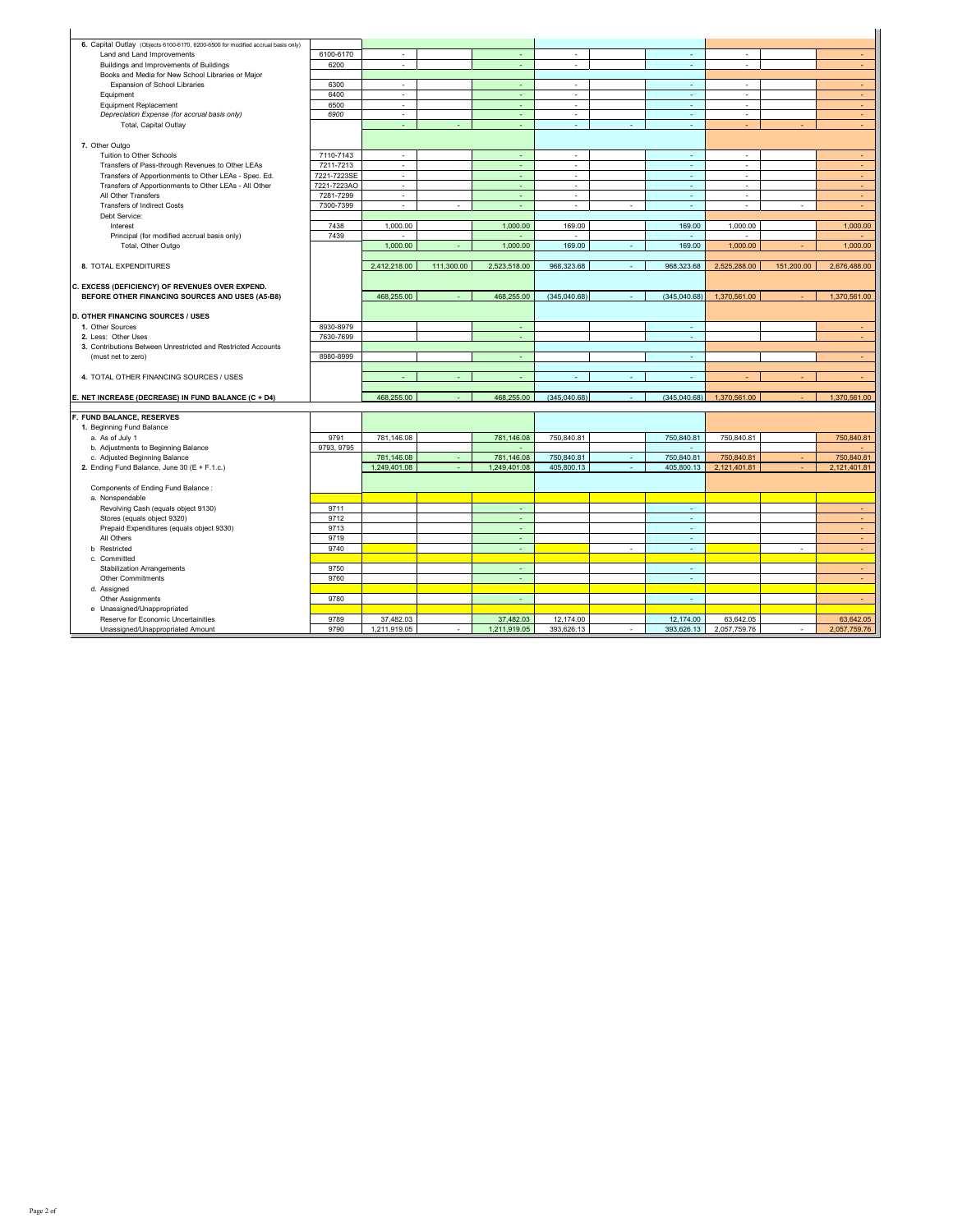| 6. Capital Outlay (Objects 6100-6170, 6200-6500 for modified accrual basis only) |             |                             |            |              |                          |   |              |              |            |              |
|----------------------------------------------------------------------------------|-------------|-----------------------------|------------|--------------|--------------------------|---|--------------|--------------|------------|--------------|
| Land and Land Improvements                                                       | 6100-6170   | $\overline{\phantom{a}}$    |            |              | ×                        |   | ٠            | ٠            |            | $\sim$       |
| Buildings and Improvements of Buildings                                          | 6200        | $\mathcal{L}$               |            | ÷.           | ÷.                       |   | ä,           | ×.           |            | $\sim$       |
| Books and Media for New School Libraries or Major                                |             |                             |            |              |                          |   |              |              |            |              |
| Expansion of School Libraries                                                    | 6300        | ×.                          |            | $\sim$       | $\sim$                   |   | ×.           | ×            |            | $\sim$       |
| Equipment                                                                        | 6400        | $\mathcal{L}_{\mathcal{A}}$ |            | ÷            | $\epsilon$               |   | $\omega$     | $\epsilon$   |            | ÷.           |
| <b>Equipment Replacement</b>                                                     | 6500        | $\epsilon$                  |            | $\sim$       | $\sim$                   |   | ×            | $\sim$       |            | $\sim$       |
| Depreciation Expense (for accrual basis only)                                    | 6900        | ٠                           |            | ÷            | $\overline{\phantom{a}}$ |   | ×,           | ٠            |            | ÷.           |
| Total, Capital Outlay                                                            |             | ä,                          |            | ÷            | ×,                       | ÷ | ÷.           | ÷            | ä,         | $\sim$       |
|                                                                                  |             |                             |            |              |                          |   |              |              |            |              |
| 7. Other Outgo                                                                   |             |                             |            |              |                          |   |              |              |            |              |
| Tuition to Other Schools                                                         | 7110-7143   | ٠                           |            | ÷            | ٠                        |   | ÷.           | ٠            |            |              |
| Transfers of Pass-through Revenues to Other LEAs                                 | 7211-7213   | $\overline{\phantom{a}}$    |            | ÷.           | $\overline{\phantom{a}}$ |   | $\omega$     | ٠            |            | $\sim$       |
| Transfers of Apportionments to Other LEAs - Spec. Ed.                            | 7221-7223SE | ä,                          |            |              | ä,                       |   | ä,           |              |            | ÷.           |
| Transfers of Apportionments to Other LEAs - All Other                            | 7221-7223AO | $\sim$                      |            | ÷            | ×.                       |   | ×            | ٠            |            | ÷.           |
| All Other Transfers                                                              | 7281-7299   | $\mathbf{r}$                |            | ÷.           | ÷.                       |   | ÷.           | ×.           |            | $\sim$       |
| <b>Transfers of Indirect Costs</b>                                               | 7300-7399   | $\epsilon$                  |            | ÷            | ÷                        | ÷ | ×            | $\sim$       | ×          | ÷.           |
| Debt Service:                                                                    |             |                             |            |              |                          |   |              |              |            |              |
| Interest                                                                         | 7438        | 1.000.00                    |            | 1.000.00     | 169.00                   |   | 169.00       | 1,000.00     |            | 1,000.00     |
| Principal (for modified accrual basis only)                                      | 7439        |                             |            |              | ÷.                       |   | ×.           | ×.           |            | ÷            |
| Total, Other Outgo                                                               |             | 1,000.00                    |            | 1,000.00     | 169.00                   |   | 169.00       | 1,000.00     |            | 1,000.00     |
|                                                                                  |             |                             |            |              |                          |   |              |              |            |              |
| 8. TOTAL EXPENDITURES                                                            |             | 2,412,218.00                | 111,300.00 | 2,523,518.00 | 968,323.68               |   | 968,323.68   | 2,525,288.00 | 151,200.00 | 2,676,488.00 |
|                                                                                  |             |                             |            |              |                          |   |              |              |            |              |
| C. EXCESS (DEFICIENCY) OF REVENUES OVER EXPEND.                                  |             |                             |            |              |                          |   |              |              |            |              |
| BEFORE OTHER FINANCING SOURCES AND USES (A5-B8)                                  |             | 468.255.00                  |            | 468,255.00   | (345.040.68)             |   | (345.040.68) | 1.370.561.00 |            | 1.370.561.00 |
|                                                                                  |             |                             |            |              |                          |   |              |              |            |              |
| <b>D. OTHER FINANCING SOURCES / USES</b>                                         |             |                             |            |              |                          |   |              |              |            |              |
| 1. Other Sources                                                                 | 8930-8979   |                             |            | ÷            |                          |   | ÷            |              |            |              |
| 2. Less: Other Uses                                                              | 7630-7699   |                             |            | ÷            |                          |   | $\sim$       |              |            | $\sim$       |
| 3. Contributions Between Unrestricted and Restricted Accounts                    |             |                             |            |              |                          |   |              |              |            |              |
| (must net to zero)                                                               | 8980-8999   |                             |            | $\sim$       |                          |   | ×            |              |            | ÷            |
|                                                                                  |             |                             |            |              |                          |   |              |              |            |              |
| 4. TOTAL OTHER FINANCING SOURCES / USES                                          |             |                             |            |              |                          |   | ٠            |              |            |              |
|                                                                                  |             |                             |            |              |                          |   |              |              |            |              |
| E. NET INCREASE (DECREASE) IN FUND BALANCE (C + D4)                              |             | 468,255.00                  |            | 468,255.00   | (345,040.68)             |   | (345,040.68) | 1,370,561.00 |            | 1,370,561.00 |
|                                                                                  |             |                             |            |              |                          |   |              |              |            |              |
| F. FUND BALANCE, RESERVES                                                        |             |                             |            |              |                          |   |              |              |            |              |
| 1. Beginning Fund Balance                                                        | 9791        | 781,146.08                  |            | 781,146.08   | 750,840.81               |   | 750,840.81   | 750,840.81   |            | 750,840.81   |
| a. As of July 1<br>b. Adjustments to Beginning Balance                           | 9793, 9795  |                             |            |              |                          |   | ÷.           |              |            |              |
| c. Adjusted Beginning Balance                                                    |             | 781,146.08                  |            | 781.146.08   | 750,840.81               |   | 750.840.81   | 750,840.81   |            | 750.840.81   |
| 2. Ending Fund Balance, June 30 (E + F.1.c.)                                     |             | 1,249,401.08                |            | 1,249,401.08 | 405,800.13               | ÷ | 405,800.13   | 2,121,401.81 |            | 2,121,401.81 |
|                                                                                  |             |                             |            |              |                          |   |              |              |            |              |
| Components of Ending Fund Balance :                                              |             |                             |            |              |                          |   |              |              |            |              |
| a. Nonspendable                                                                  |             |                             |            |              |                          |   |              |              |            |              |
| Revolving Cash (equals object 9130)                                              | 9711        |                             |            | ÷            |                          |   | ÷.           |              |            | $\sim$       |
| Stores (equals object 9320)                                                      | 9712        |                             |            | ÷.           |                          |   | ÷.           |              |            | $\omega$     |
| Prepaid Expenditures (equals object 9330)                                        | 9713        |                             |            |              |                          |   | ٠            |              |            | $\sim$       |
| All Others                                                                       | 9719        |                             |            | ÷.           |                          |   | $\omega$     |              |            | $\omega$ .   |
| <b>b</b> Restricted                                                              | 9740        |                             |            | ÷.           |                          | ٠ | ÷.           |              | ×,         | ÷.           |
| c. Committed                                                                     |             |                             |            |              |                          |   |              |              |            |              |
| <b>Stabilization Arrangements</b>                                                | 9750        |                             |            |              |                          |   | ٠            |              |            | ٠            |
| Other Commitments                                                                | 9760        |                             |            |              |                          |   | ÷            |              |            | $\sim$       |
| d. Assigned                                                                      |             |                             |            |              |                          |   |              |              |            |              |
| Other Assignments                                                                | 9780        |                             |            | $\sim$       |                          |   | $\sim$       |              |            | $\sim$       |
| e Unassigned/Unappropriated                                                      |             |                             |            |              |                          |   |              |              |            |              |
|                                                                                  |             |                             |            |              |                          |   |              |              |            |              |
| Reserve for Economic Uncertainities                                              | 9789        | 37,482.03                   |            | 37,482.03    | 12.174.00                |   | 12,174.00    | 63.642.05    |            | 63,642.05    |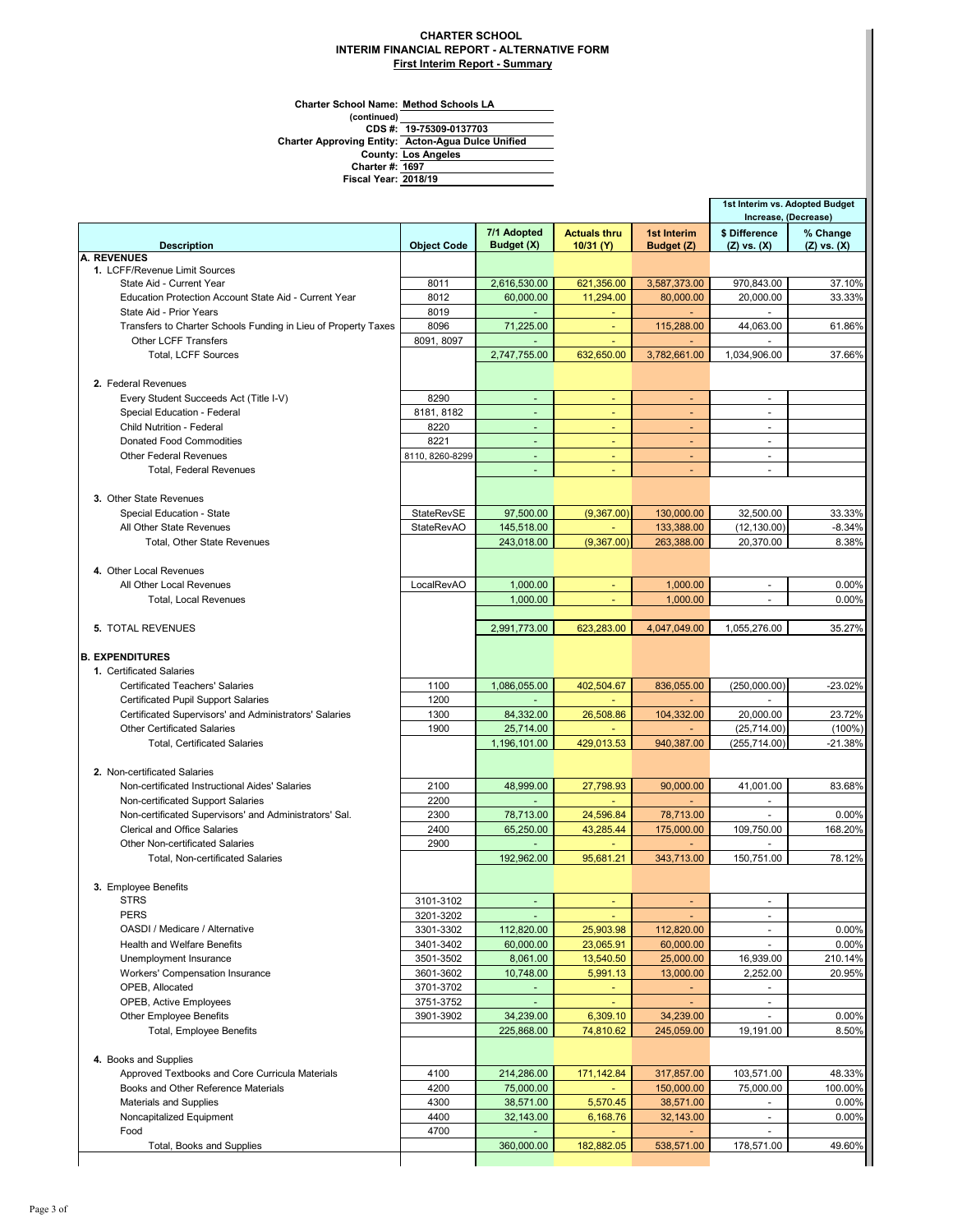## **CHARTER SCHOOL INTERIM FINANCIAL REPORT - ALTERNATIVE FORM First Interim Report - Summary**

**Charter School Name: Method Schools LA**

**(continued) 19-75309-0137703 CDS #:**

**Los Angeles Acton-Agua Dulce Unified County: Charter Approving Entity:**

**1697 Charter #:**

|                                                                                                      |                                 |                             |                          |                          | 1st Interim vs. Adopted Budget        |                    |
|------------------------------------------------------------------------------------------------------|---------------------------------|-----------------------------|--------------------------|--------------------------|---------------------------------------|--------------------|
|                                                                                                      |                                 | 7/1 Adopted                 | <b>Actuals thru</b>      | 1st Interim              | Increase, (Decrease)<br>\$ Difference | % Change           |
| <b>Description</b><br>A. REVENUES                                                                    | <b>Object Code</b>              | Budget (X)                  | 10/31 (Y)                | Budget (Z)               | $(Z)$ vs. $(X)$                       | $(Z)$ vs. $(X)$    |
| 1. LCFF/Revenue Limit Sources                                                                        |                                 |                             |                          |                          |                                       |                    |
| State Aid - Current Year                                                                             | 8011                            | 2,616,530.00                | 621,356.00               | 3,587,373.00             | 970.843.00                            | 37.10%             |
| Education Protection Account State Aid - Current Year                                                | 8012                            | 60,000.00                   | 11,294.00                | 80,000.00                | 20,000.00                             | 33.33%             |
| State Aid - Prior Years                                                                              | 8019                            |                             |                          |                          |                                       |                    |
| Transfers to Charter Schools Funding in Lieu of Property Taxes                                       | 8096                            | 71,225.00                   |                          | 115,288.00               | 44,063.00                             | 61.86%             |
| <b>Other LCFF Transfers</b><br>Total, LCFF Sources                                                   | 8091, 8097                      | 2,747,755.00                | 632,650.00               | 3,782,661.00             | 1,034,906.00                          | 37.66%             |
| 2. Federal Revenues                                                                                  |                                 |                             |                          |                          |                                       |                    |
| Every Student Succeeds Act (Title I-V)                                                               | 8290                            |                             | $\omega$                 | ÷.                       | $\mathbf{r}$                          |                    |
| Special Education - Federal                                                                          | 8181, 8182                      |                             |                          |                          | $\mathbf{r}$                          |                    |
| <b>Child Nutrition - Federal</b>                                                                     | 8220                            | $\overline{a}$              | ÷                        | ÷.                       | $\mathbf{r}$                          |                    |
| <b>Donated Food Commodities</b>                                                                      | 8221                            | $\sim$                      | $\sim$                   | $\blacksquare$           | $\blacksquare$                        |                    |
| <b>Other Federal Revenues</b>                                                                        | 8110, 8260-8299                 | ä,                          |                          |                          | $\blacksquare$                        |                    |
| <b>Total, Federal Revenues</b>                                                                       |                                 |                             |                          |                          | $\blacksquare$                        |                    |
| 3. Other State Revenues                                                                              |                                 |                             |                          |                          |                                       |                    |
| Special Education - State<br>All Other State Revenues                                                | StateRevSE<br><b>StateRevAO</b> | 97,500.00<br>145,518.00     | (9,367.00)               | 130,000.00<br>133,388.00 | 32,500.00<br>(12, 130.00)             | 33.33%<br>$-8.34%$ |
| Total, Other State Revenues                                                                          |                                 | 243,018.00                  | (9,367.00)               | 263,388.00               | 20,370.00                             | 8.38%              |
|                                                                                                      |                                 |                             |                          |                          |                                       |                    |
| 4. Other Local Revenues                                                                              | LocalRevAO                      | 1.000.00                    |                          |                          |                                       |                    |
| All Other Local Revenues<br>Total, Local Revenues                                                    |                                 | 1.000.00                    | $\omega$                 | 1,000.00<br>1,000.00     | $\mathbf{r}$                          | 0.00%<br>0.00%     |
|                                                                                                      |                                 |                             |                          |                          |                                       |                    |
| <b>5. TOTAL REVENUES</b>                                                                             |                                 | 2,991,773.00                | 623,283.00               | 4,047,049.00             | 1,055,276.00                          | 35.27%             |
| <b>B. EXPENDITURES</b>                                                                               |                                 |                             |                          |                          |                                       |                    |
| 1. Certificated Salaries                                                                             |                                 |                             |                          |                          |                                       |                    |
| <b>Certificated Teachers' Salaries</b>                                                               | 1100                            | 1,086,055.00                | 402,504.67               | 836,055.00               | (250,000.00)                          | $-23.02%$          |
| <b>Certificated Pupil Support Salaries</b><br>Certificated Supervisors' and Administrators' Salaries | 1200<br>1300                    | 84,332.00                   | 26,508.86                | 104,332.00               | 20,000.00                             | 23.72%             |
| <b>Other Certificated Salaries</b>                                                                   | 1900                            | 25,714.00                   |                          |                          | (25, 714.00)                          | $(100\%)$          |
| <b>Total, Certificated Salaries</b>                                                                  |                                 | 1,196,101.00                | 429,013.53               | 940,387.00               | (255, 714.00)                         | $-21.38%$          |
| 2. Non-certificated Salaries                                                                         |                                 |                             |                          |                          |                                       |                    |
| Non-certificated Instructional Aides' Salaries                                                       | 2100                            | 48,999.00                   | 27,798.93                | 90,000.00                | 41,001.00                             | 83.68%             |
| Non-certificated Support Salaries                                                                    | 2200                            |                             |                          |                          |                                       |                    |
| Non-certificated Supervisors' and Administrators' Sal.                                               | 2300                            | 78,713.00                   | 24,596.84                | 78,713.00                |                                       | 0.00%              |
| <b>Clerical and Office Salaries</b>                                                                  | 2400                            | 65,250.00                   | 43,285.44                | 175,000.00               | 109,750.00                            | 168.20%            |
| <b>Other Non-certificated Salaries</b>                                                               | 2900                            |                             |                          |                          |                                       |                    |
| <b>Total. Non-certificated Salaries</b>                                                              |                                 | 192,962.00                  | 95,681.21                | 343,713.00               | 150,751.00                            | 78.12%             |
| 3. Employee Benefits                                                                                 |                                 |                             |                          |                          |                                       |                    |
| <b>STRS</b>                                                                                          | 3101-3102                       | $\blacksquare$              | $\overline{\phantom{a}}$ | ٠                        | $\blacksquare$                        |                    |
| <b>PERS</b>                                                                                          | 3201-3202                       |                             | $\blacksquare$           |                          | $\blacksquare$                        |                    |
| OASDI / Medicare / Alternative                                                                       | 3301-3302                       | 112,820.00                  | 25,903.98                | 112,820.00               | $\mathcal{L}_{\mathcal{A}}$           | 0.00%              |
| <b>Health and Welfare Benefits</b><br>Unemployment Insurance                                         | 3401-3402                       | 60,000.00<br>8,061.00       | 23,065.91                | 60,000.00<br>25,000.00   | $\overline{a}$<br>16,939.00           | 0.00%<br>210.14%   |
| Workers' Compensation Insurance                                                                      | 3501-3502<br>3601-3602          | 10,748.00                   | 13,540.50<br>5,991.13    | 13,000.00                | 2,252.00                              | 20.95%             |
| OPEB, Allocated                                                                                      | 3701-3702                       |                             |                          |                          |                                       |                    |
| OPEB, Active Employees                                                                               | 3751-3752                       | ä,                          | ٠                        |                          | $\overline{\phantom{a}}$              |                    |
| <b>Other Employee Benefits</b>                                                                       | 3901-3902                       | 34,239.00                   | 6,309.10                 | 34,239.00                |                                       | 0.00%              |
| <b>Total, Employee Benefits</b>                                                                      |                                 | 225,868.00                  | 74,810.62                | 245,059.00               | 19,191.00                             | 8.50%              |
| 4. Books and Supplies                                                                                |                                 |                             |                          |                          |                                       |                    |
| Approved Textbooks and Core Curricula Materials                                                      | 4100                            | 214,286.00                  | 171,142.84               | 317,857.00               | 103,571.00                            | 48.33%             |
| Books and Other Reference Materials                                                                  | 4200                            | 75,000.00                   | ÷                        | 150,000.00               | 75,000.00                             | 100.00%            |
| Materials and Supplies                                                                               | 4300                            | 38,571.00                   | 5,570.45                 | 38,571.00                | $\mathbf{r}$                          | 0.00%              |
| Noncapitalized Equipment<br>Food                                                                     | 4400<br>4700                    | 32,143.00<br>$\overline{a}$ | 6,168.76                 | 32,143.00                | ÷.<br>$\overline{a}$                  | 0.00%              |
| Total, Books and Supplies                                                                            |                                 | 360,000.00                  | 182,882.05               | 538,571.00               | 178,571.00                            | 49.60%             |
|                                                                                                      |                                 |                             |                          |                          |                                       |                    |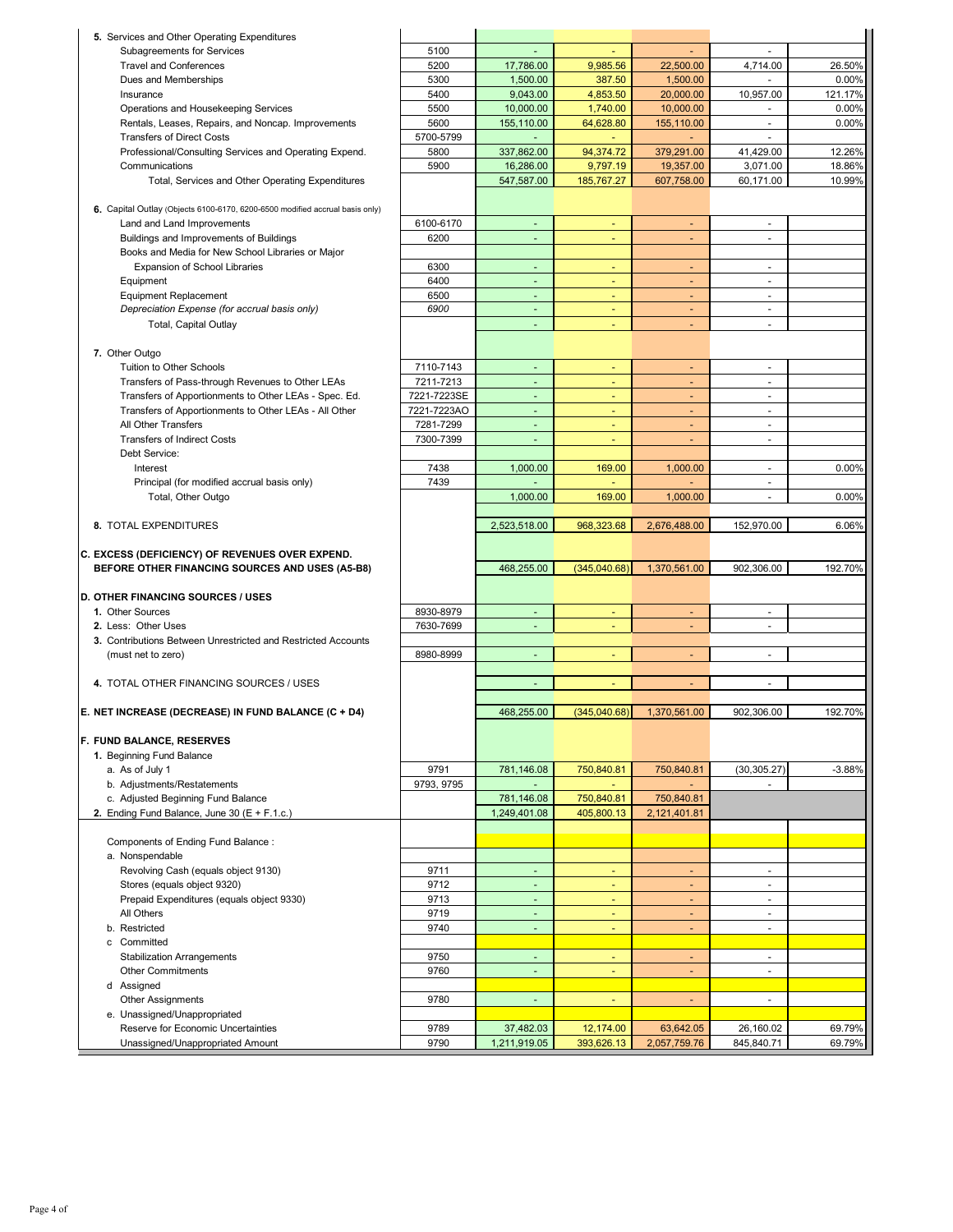| 5. Services and Other Operating Expenditures                                 |              |                           |                          |                              |                          |                  |
|------------------------------------------------------------------------------|--------------|---------------------------|--------------------------|------------------------------|--------------------------|------------------|
| Subagreements for Services                                                   | 5100         |                           |                          |                              |                          |                  |
| <b>Travel and Conferences</b>                                                | 5200         | 17,786.00                 | 9,985.56                 | 22,500.00                    | 4,714.00                 | 26.50%           |
| Dues and Memberships                                                         | 5300         | 1,500.00                  | 387.50                   | 1,500.00                     |                          | 0.00%            |
| Insurance                                                                    | 5400         | 9,043.00                  | 4,853.50                 | 20,000.00                    | 10,957.00                | 121.17%          |
| Operations and Housekeeping Services                                         | 5500         | 10,000.00                 | 1,740.00                 | 10,000.00                    |                          | 0.00%            |
| Rentals, Leases, Repairs, and Noncap. Improvements                           | 5600         | 155,110.00                | 64,628.80                | 155,110.00                   | $\blacksquare$           | 0.00%            |
| <b>Transfers of Direct Costs</b>                                             | 5700-5799    | $\blacksquare$            | $\sim$                   | ٠                            | $\blacksquare$           |                  |
| Professional/Consulting Services and Operating Expend.                       | 5800         | 337,862.00                | 94,374.72                | 379,291.00                   | 41,429.00                | 12.26%           |
|                                                                              |              |                           |                          |                              |                          |                  |
| Communications                                                               | 5900         | 16,286.00                 | 9,797.19                 | 19,357.00                    | 3,071.00                 | 18.86%           |
| Total, Services and Other Operating Expenditures                             |              | 547,587.00                | 185,767.27               | 607,758.00                   | 60,171.00                | 10.99%           |
|                                                                              |              |                           |                          |                              |                          |                  |
| 6. Capital Outlay (Objects 6100-6170, 6200-6500 modified accrual basis only) |              |                           |                          |                              |                          |                  |
| Land and Land Improvements                                                   | 6100-6170    | $\blacksquare$            | ٠                        | ٠                            | $\overline{\phantom{a}}$ |                  |
| Buildings and Improvements of Buildings                                      | 6200         | ä,                        |                          |                              | ä,                       |                  |
| Books and Media for New School Libraries or Major                            |              |                           |                          |                              |                          |                  |
| Expansion of School Libraries                                                | 6300         | $\sim$                    |                          |                              | ٠                        |                  |
| Equipment                                                                    | 6400         | $\overline{\phantom{a}}$  | ٠                        | ٠                            | $\blacksquare$           |                  |
| <b>Equipment Replacement</b>                                                 | 6500         | $\blacksquare$            | $\overline{\phantom{a}}$ | $\blacksquare$               | $\blacksquare$           |                  |
| Depreciation Expense (for accrual basis only)                                | 6900         | $\blacksquare$            | $\blacksquare$           | ٠                            | $\overline{\phantom{a}}$ |                  |
| Total, Capital Outlay                                                        |              | ä,                        | ä,                       | ٠                            | $\overline{a}$           |                  |
|                                                                              |              |                           |                          |                              |                          |                  |
| 7. Other Outgo                                                               |              |                           |                          |                              |                          |                  |
| Tuition to Other Schools                                                     | 7110-7143    | $\omega$                  | $\omega$                 | ä,                           | $\blacksquare$           |                  |
| Transfers of Pass-through Revenues to Other LEAs                             | 7211-7213    | $\omega$                  | $\blacksquare$           | ٠                            | ÷                        |                  |
| Transfers of Apportionments to Other LEAs - Spec. Ed.                        | 7221-7223SE  | $\omega$                  | $\overline{\phantom{a}}$ | $\blacksquare$               | ÷                        |                  |
| Transfers of Apportionments to Other LEAs - All Other                        | 7221-7223AO  | $\blacksquare$            | $\overline{\phantom{a}}$ | $\qquad \qquad \blacksquare$ | $\overline{\phantom{a}}$ |                  |
| All Other Transfers                                                          | 7281-7299    | $\omega$                  |                          |                              | ä,                       |                  |
| <b>Transfers of Indirect Costs</b>                                           | 7300-7399    | $\omega$                  | ٠                        | ٠                            | ä,                       |                  |
| Debt Service:                                                                |              |                           |                          |                              |                          |                  |
| Interest                                                                     | 7438         | 1,000.00                  | 169.00                   | 1,000.00                     | $\blacksquare$           | 0.00%            |
| Principal (for modified accrual basis only)                                  | 7439         |                           |                          |                              | ۰                        |                  |
| Total, Other Outgo                                                           |              | 1,000.00                  | 169.00                   | 1,000.00                     | ä,                       | 0.00%            |
|                                                                              |              |                           |                          |                              |                          |                  |
| 8. TOTAL EXPENDITURES                                                        |              | 2,523,518.00              | 968,323.68               | 2,676,488.00                 | 152,970.00               | 6.06%            |
|                                                                              |              |                           |                          |                              |                          |                  |
|                                                                              |              |                           |                          |                              |                          |                  |
| C. EXCESS (DEFICIENCY) OF REVENUES OVER EXPEND.                              |              |                           |                          |                              |                          |                  |
| BEFORE OTHER FINANCING SOURCES AND USES (A5-B8)                              |              | 468,255.00                | (345,040.68)             | 1,370,561.00                 | 902,306.00               | 192.70%          |
|                                                                              |              |                           |                          |                              |                          |                  |
| D. OTHER FINANCING SOURCES / USES                                            |              |                           |                          |                              |                          |                  |
| 1. Other Sources                                                             | 8930-8979    | $\blacksquare$            |                          | $\overline{\phantom{a}}$     | ä,                       |                  |
| 2. Less: Other Uses                                                          |              | $\overline{\phantom{a}}$  | ٠                        | $\overline{\phantom{a}}$     | ٠                        |                  |
|                                                                              | 7630-7699    |                           |                          |                              |                          |                  |
| 3. Contributions Between Unrestricted and Restricted Accounts                |              | $\sim$                    | ٠                        | $\overline{\phantom{a}}$     | ٠                        |                  |
| (must net to zero)                                                           | 8980-8999    |                           |                          |                              |                          |                  |
| 4. TOTAL OTHER FINANCING SOURCES / USES                                      |              | ä,                        | ä,                       |                              | $\overline{\phantom{a}}$ |                  |
|                                                                              |              |                           |                          |                              |                          |                  |
|                                                                              |              |                           |                          |                              |                          |                  |
| E. NET INCREASE (DECREASE) IN FUND BALANCE (C + D4)                          |              | 468,255.00                | (345,040.68)             | 1,370,561.00                 | 902,306.00               | 192.70%          |
|                                                                              |              |                           |                          |                              |                          |                  |
| F. FUND BALANCE, RESERVES                                                    |              |                           |                          |                              |                          |                  |
| 1. Beginning Fund Balance                                                    |              |                           |                          |                              |                          |                  |
| a. As of July 1                                                              | 9791         | 781,146.08<br>ä,          | 750,840.81               | 750,840.81                   | (30, 305.27)             | $-3.88%$         |
| b. Adjustments/Restatements                                                  | 9793, 9795   |                           |                          |                              |                          |                  |
| c. Adjusted Beginning Fund Balance                                           |              | 781,146.08                | 750,840.81               | 750,840.81                   |                          |                  |
| 2. Ending Fund Balance, June 30 (E + F.1.c.)                                 |              | 1,249,401.08              | 405,800.13               | 2,121,401.81                 |                          |                  |
|                                                                              |              |                           |                          |                              |                          |                  |
| Components of Ending Fund Balance:                                           |              |                           |                          |                              |                          |                  |
| a. Nonspendable                                                              |              |                           |                          |                              |                          |                  |
| Revolving Cash (equals object 9130)                                          | 9711         | $\omega$                  | ÷.                       | ÷.                           | $\blacksquare$           |                  |
| Stores (equals object 9320)                                                  | 9712         | $\omega$                  |                          |                              | $\blacksquare$           |                  |
| Prepaid Expenditures (equals object 9330)                                    | 9713         | $\omega$                  | ٠                        | ٠                            | $\blacksquare$           |                  |
| All Others                                                                   | 9719         | $\blacksquare$            | $\overline{\phantom{a}}$ | $\blacksquare$               | ٠                        |                  |
| b. Restricted                                                                | 9740         | ÷.                        |                          |                              | ä,                       |                  |
| c Committed                                                                  |              |                           |                          |                              |                          |                  |
| <b>Stabilization Arrangements</b>                                            | 9750         | $\omega$                  | ä,                       | ÷.                           | ÷,                       |                  |
| <b>Other Commitments</b>                                                     | 9760         | ä,                        | $\overline{\phantom{a}}$ | ٠                            | ä,                       |                  |
| d Assigned                                                                   |              |                           |                          |                              |                          |                  |
| <b>Other Assignments</b>                                                     | 9780         | $\blacksquare$            | $\overline{\phantom{a}}$ | ٠                            | $\overline{\phantom{a}}$ |                  |
| e. Unassigned/Unappropriated                                                 |              |                           |                          |                              |                          |                  |
| Reserve for Economic Uncertainties<br>Unassigned/Unappropriated Amount       | 9789<br>9790 | 37,482.03<br>1,211,919.05 | 12,174.00<br>393,626.13  | 63,642.05<br>2,057,759.76    | 26,160.02<br>845,840.71  | 69.79%<br>69.79% |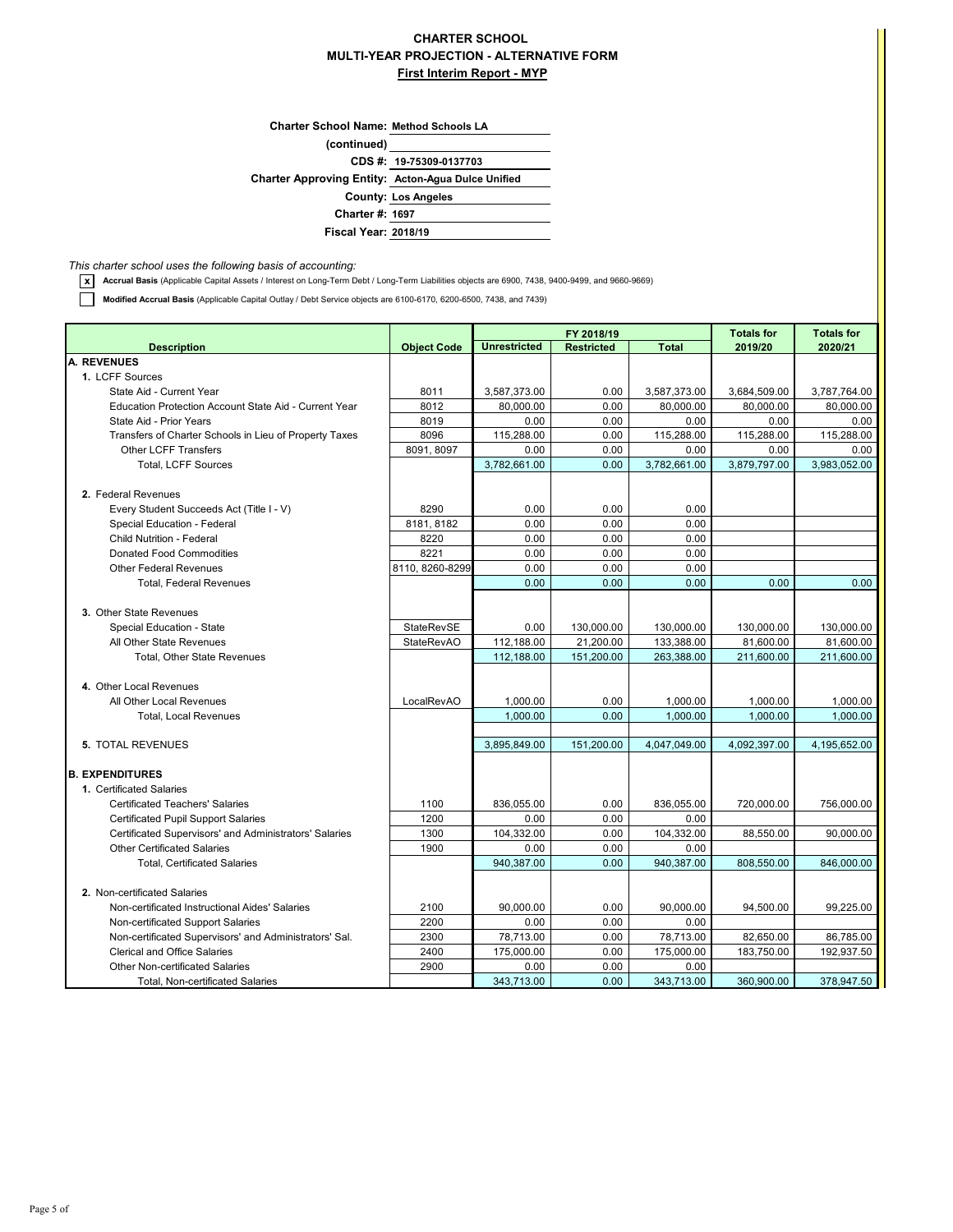## **CHARTER SCHOOL MULTI-YEAR PROJECTION - ALTERNATIVE FORM First Interim Report - MYP**

**(continued) Charter School Name: Method Schools LA County: Los Angeles Charter #: 1697 Charter Approving Entity: Acton-Agua Dulce Unified CDS #: 19-75309-0137703**

*This charter school uses the following basis of accounting:*

**x** Accrual Basis (Applicable Capital Assets / Interest on Long-Term Debt / Long-Term Liabilities objects are 6900, 7438, 9400-9499, and 9660-9669)

**Fiscal Year: 2018/19**

**Modified Accrual Basis** (Applicable Capital Outlay / Debt Service objects are 6100-6170, 6200-6500, 7438, and 7439)

|                                                                                               |                    | FY 2018/19          |                   |                          | <b>Totals for</b> | <b>Totals for</b> |  |
|-----------------------------------------------------------------------------------------------|--------------------|---------------------|-------------------|--------------------------|-------------------|-------------------|--|
| <b>Description</b>                                                                            | <b>Object Code</b> | <b>Unrestricted</b> | <b>Restricted</b> | <b>Total</b>             | 2019/20           | 2020/21           |  |
| <b>A. REVENUES</b>                                                                            |                    |                     |                   |                          |                   |                   |  |
| 1. LCFF Sources                                                                               |                    |                     |                   |                          |                   |                   |  |
| State Aid - Current Year                                                                      | 8011               | 3,587,373.00        | 0.00              | 3,587,373.00             | 3,684,509.00      | 3,787,764.00      |  |
| Education Protection Account State Aid - Current Year                                         | 8012               | 80.000.00           | 0.00              | 80,000.00                | 80.000.00         | 80.000.00         |  |
| State Aid - Prior Years                                                                       | 8019               | 0.00                | 0.00              | 0.00                     | 0.00              | 0.00              |  |
| Transfers of Charter Schools in Lieu of Property Taxes                                        | 8096               | 115,288.00          | 0.00              | 115,288.00               | 115,288.00        | 115,288.00        |  |
| <b>Other LCFF Transfers</b>                                                                   | 8091, 8097         | 0.00                | 0.00              | 0.00                     | 0.00              | 0.00              |  |
| <b>Total, LCFF Sources</b>                                                                    |                    | 3,782,661.00        | 0.00              | 3,782,661.00             | 3,879,797.00      | 3,983,052.00      |  |
| 2. Federal Revenues                                                                           |                    |                     |                   |                          |                   |                   |  |
|                                                                                               | 8290               |                     |                   | 0.00                     |                   |                   |  |
| Every Student Succeeds Act (Title I - V)                                                      | 8181.8182          | 0.00<br>0.00        | 0.00<br>0.00      | 0.00                     |                   |                   |  |
| Special Education - Federal                                                                   |                    |                     |                   |                          |                   |                   |  |
| <b>Child Nutrition - Federal</b><br><b>Donated Food Commodities</b>                           | 8220<br>8221       | 0.00                | 0.00<br>0.00      | 0.00<br>0.00             |                   |                   |  |
| <b>Other Federal Revenues</b>                                                                 |                    | 0.00                |                   |                          |                   |                   |  |
|                                                                                               | 8110, 8260-8299    | 0.00<br>0.00        | 0.00<br>0.00      | 0.00<br>0.00             | 0.00              | 0.00              |  |
| <b>Total, Federal Revenues</b>                                                                |                    |                     |                   |                          |                   |                   |  |
| 3. Other State Revenues                                                                       |                    |                     |                   |                          |                   |                   |  |
| Special Education - State                                                                     | StateRevSE         | 0.00                | 130,000.00        | 130,000.00               | 130,000.00        | 130,000.00        |  |
| All Other State Revenues                                                                      | <b>StateRevAO</b>  | 112,188.00          | 21,200.00         |                          | 81,600.00         | 81,600.00         |  |
| <b>Total, Other State Revenues</b>                                                            |                    | 112,188.00          | 151,200.00        | 133,388.00<br>263,388.00 | 211,600.00        | 211,600.00        |  |
|                                                                                               |                    |                     |                   |                          |                   |                   |  |
| 4. Other Local Revenues                                                                       |                    |                     |                   |                          |                   |                   |  |
| All Other Local Revenues                                                                      | LocalRevAO         | 1,000.00            | 0.00              | 1,000.00                 | 1,000.00          | 1,000.00          |  |
| <b>Total, Local Revenues</b>                                                                  |                    | 1,000.00            | 0.00              | 1,000.00                 | 1,000.00          | 1,000.00          |  |
|                                                                                               |                    |                     |                   |                          |                   |                   |  |
| 5. TOTAL REVENUES                                                                             |                    | 3,895,849.00        | 151,200.00        | 4,047,049.00             | 4,092,397.00      | 4,195,652.00      |  |
|                                                                                               |                    |                     |                   |                          |                   |                   |  |
| <b>B. EXPENDITURES</b>                                                                        |                    |                     |                   |                          |                   |                   |  |
| 1. Certificated Salaries                                                                      |                    |                     |                   |                          |                   |                   |  |
| <b>Certificated Teachers' Salaries</b>                                                        | 1100               | 836,055.00          | 0.00              | 836,055.00               | 720,000.00        | 756,000.00        |  |
| <b>Certificated Pupil Support Salaries</b>                                                    | 1200               | 0.00                | 0.00              | 0.00                     |                   |                   |  |
| Certificated Supervisors' and Administrators' Salaries                                        | 1300               | 104,332.00          | 0.00              | 104,332.00               | 88,550.00         | 90,000.00         |  |
| <b>Other Certificated Salaries</b>                                                            | 1900               | 0.00                | 0.00              | 0.00                     |                   |                   |  |
| <b>Total, Certificated Salaries</b>                                                           |                    | 940,387.00          | 0.00              | 940,387.00               | 808,550.00        | 846,000.00        |  |
| 2. Non-certificated Salaries                                                                  |                    |                     |                   |                          |                   |                   |  |
| Non-certificated Instructional Aides' Salaries                                                | 2100               | 90,000.00           | 0.00              | 90,000.00                | 94,500.00         | 99,225.00         |  |
| Non-certificated Support Salaries                                                             | 2200               | 0.00                | 0.00              | 0.00                     |                   |                   |  |
|                                                                                               | 2300               | 78,713.00           | 0.00              | 78,713.00                | 82,650.00         | 86,785.00         |  |
| Non-certificated Supervisors' and Administrators' Sal.<br><b>Clerical and Office Salaries</b> | 2400               | 175,000.00          |                   | 175,000.00               | 183,750.00        | 192,937.50        |  |
| <b>Other Non-certificated Salaries</b>                                                        |                    |                     | 0.00              |                          |                   |                   |  |
|                                                                                               | 2900               | 0.00                | 0.00              | 0.00                     |                   |                   |  |
| <b>Total, Non-certificated Salaries</b>                                                       |                    | 343,713.00          | 0.00              | 343,713.00               | 360,900.00        | 378,947.50        |  |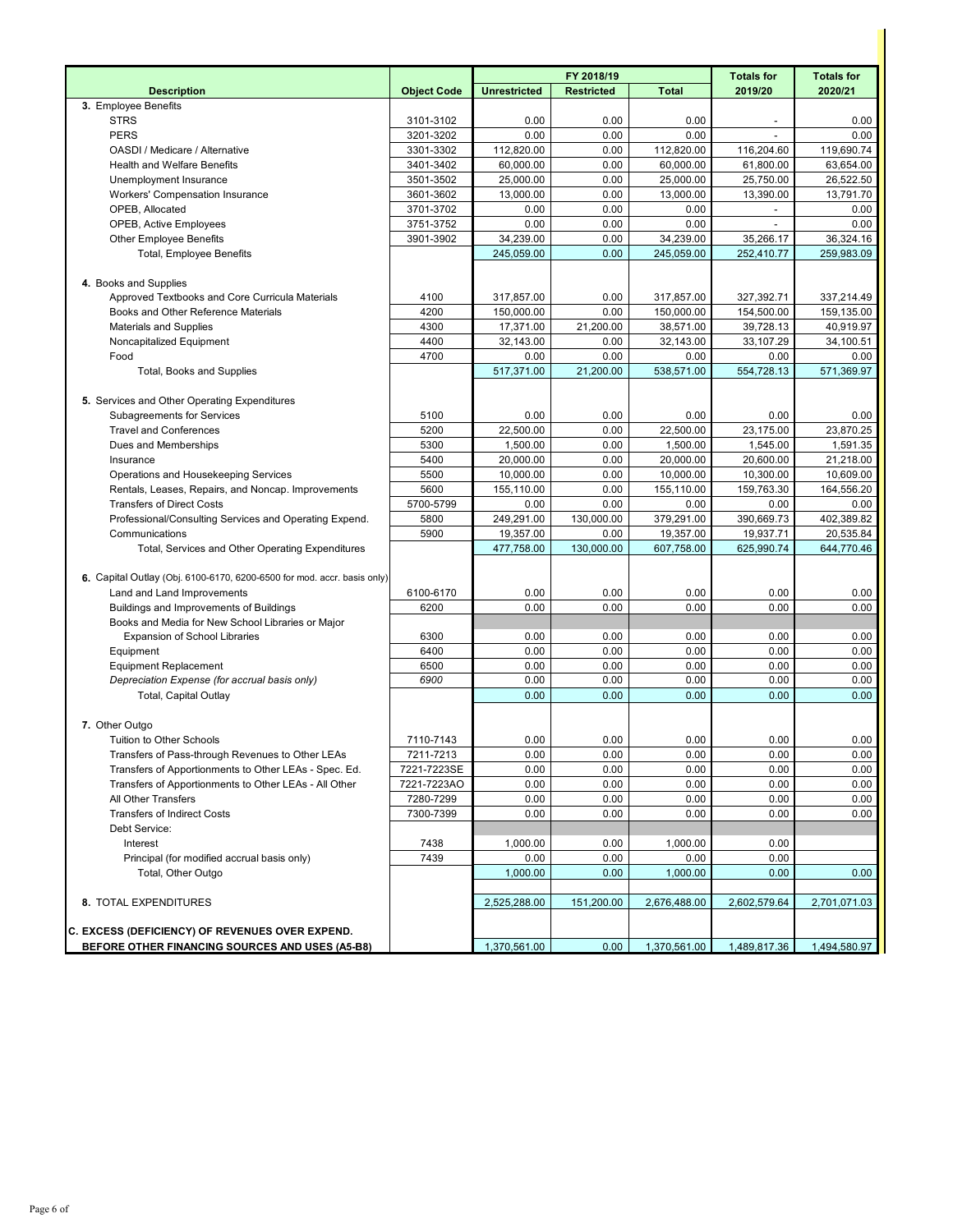|                                                                         |                    |                     | FY 2018/19        |              | <b>Totals for</b> | <b>Totals for</b> |
|-------------------------------------------------------------------------|--------------------|---------------------|-------------------|--------------|-------------------|-------------------|
| <b>Description</b>                                                      | <b>Object Code</b> | <b>Unrestricted</b> | <b>Restricted</b> | <b>Total</b> | 2019/20           | 2020/21           |
| 3. Employee Benefits                                                    |                    |                     |                   |              |                   |                   |
| <b>STRS</b>                                                             | 3101-3102          | 0.00                | 0.00              | 0.00         |                   | 0.00              |
| <b>PERS</b>                                                             | 3201-3202          | 0.00                | 0.00              | 0.00         |                   | 0.00              |
| OASDI / Medicare / Alternative                                          | 3301-3302          | 112,820.00          | 0.00              | 112,820.00   | 116,204.60        | 119,690.74        |
| <b>Health and Welfare Benefits</b>                                      | 3401-3402          | 60,000.00           | 0.00              | 60,000.00    | 61,800.00         | 63,654.00         |
| Unemployment Insurance                                                  | 3501-3502          | 25,000.00           | 0.00              | 25,000.00    | 25,750.00         | 26,522.50         |
| Workers' Compensation Insurance                                         | 3601-3602          | 13,000.00           | 0.00              | 13,000.00    | 13,390.00         | 13,791.70         |
| OPEB, Allocated                                                         | 3701-3702          | 0.00                | 0.00              | 0.00         |                   | 0.00              |
| <b>OPEB, Active Employees</b>                                           | 3751-3752          | 0.00                | 0.00              | 0.00         |                   | 0.00              |
| <b>Other Employee Benefits</b>                                          | 3901-3902          | 34,239.00           | 0.00              | 34,239.00    | 35,266.17         | 36,324.16         |
| <b>Total, Employee Benefits</b>                                         |                    | 245,059.00          | 0.00              | 245,059.00   | 252,410.77        | 259,983.09        |
|                                                                         |                    |                     |                   |              |                   |                   |
| 4. Books and Supplies                                                   |                    |                     |                   |              |                   |                   |
| Approved Textbooks and Core Curricula Materials                         | 4100               | 317,857.00          | 0.00              | 317,857.00   | 327,392.71        | 337,214.49        |
| Books and Other Reference Materials                                     | 4200               | 150,000.00          | 0.00              | 150,000.00   | 154,500.00        | 159,135.00        |
| <b>Materials and Supplies</b>                                           | 4300               | 17,371.00           | 21,200.00         | 38,571.00    | 39,728.13         | 40,919.97         |
| Noncapitalized Equipment                                                | 4400               | 32,143.00           | 0.00              | 32,143.00    | 33,107.29         | 34,100.51         |
| Food                                                                    | 4700               | 0.00                | 0.00              | 0.00         | 0.00              | 0.00              |
| <b>Total, Books and Supplies</b>                                        |                    | 517,371.00          | 21,200.00         | 538,571.00   | 554,728.13        | 571,369.97        |
|                                                                         |                    |                     |                   |              |                   |                   |
| 5. Services and Other Operating Expenditures                            |                    |                     |                   |              |                   |                   |
| <b>Subagreements for Services</b>                                       | 5100               | 0.00                | 0.00              | 0.00         | 0.00              | 0.00              |
| <b>Travel and Conferences</b>                                           | 5200               | 22,500.00           | 0.00              | 22,500.00    | 23,175.00         | 23,870.25         |
| Dues and Memberships                                                    | 5300               | 1,500.00            | 0.00              | 1,500.00     | 1,545.00          | 1,591.35          |
| Insurance                                                               | 5400               | 20,000.00           | 0.00              | 20,000.00    | 20,600.00         | 21,218.00         |
| Operations and Housekeeping Services                                    | 5500               | 10,000.00           | 0.00              | 10,000.00    | 10,300.00         | 10,609.00         |
| Rentals, Leases, Repairs, and Noncap. Improvements                      | 5600               | 155,110.00          | 0.00              | 155,110.00   | 159,763.30        | 164,556.20        |
| <b>Transfers of Direct Costs</b>                                        | 5700-5799          | 0.00                | 0.00              | 0.00         | 0.00              | 0.00              |
| Professional/Consulting Services and Operating Expend.                  | 5800               | 249,291.00          | 130,000.00        | 379,291.00   | 390,669.73        | 402,389.82        |
| Communications                                                          | 5900               | 19,357.00           | 0.00              | 19,357.00    | 19,937.71         | 20,535.84         |
| Total, Services and Other Operating Expenditures                        |                    | 477,758.00          | 130,000.00        | 607,758.00   | 625,990.74        | 644,770.46        |
|                                                                         |                    |                     |                   |              |                   |                   |
| 6. Capital Outlay (Obj. 6100-6170, 6200-6500 for mod. accr. basis only) |                    |                     |                   |              |                   |                   |
| Land and Land Improvements                                              | 6100-6170          | 0.00                | 0.00              | 0.00         | 0.00              | 0.00              |
| Buildings and Improvements of Buildings                                 | 6200               | 0.00                | 0.00              | 0.00         | 0.00              | 0.00              |
| Books and Media for New School Libraries or Major                       |                    |                     |                   |              |                   |                   |
| <b>Expansion of School Libraries</b>                                    | 6300               | 0.00                | 0.00              | 0.00         | 0.00              | 0.00              |
| Equipment                                                               | 6400               | 0.00                | 0.00              | 0.00         | 0.00              | 0.00              |
| <b>Equipment Replacement</b>                                            | 6500               | 0.00                | 0.00              | 0.00         | 0.00              | 0.00              |
| Depreciation Expense (for accrual basis only)                           | 6900               | 0.00                | 0.00              | 0.00         | 0.00              | 0.00              |
| <b>Total, Capital Outlay</b>                                            |                    | 0.00                | 0.00              | 0.00         | 0.00              | 0.00              |
|                                                                         |                    |                     |                   |              |                   |                   |
| 7. Other Outgo                                                          |                    |                     |                   |              |                   |                   |
| Tuition to Other Schools                                                | 7110-7143          | 0.00                | 0.00              | 0.00         | 0.00              | 0.00              |
| Transfers of Pass-through Revenues to Other LEAs                        | 7211-7213          | 0.00                | 0.00              | 0.00         | 0.00              | 0.00              |
| Transfers of Apportionments to Other LEAs - Spec. Ed.                   | 7221-7223SE        | 0.00                | 0.00              | 0.00         | 0.00              | 0.00              |
| Transfers of Apportionments to Other LEAs - All Other                   | 7221-7223AO        | 0.00                | 0.00              | 0.00         | 0.00              | 0.00              |
| All Other Transfers                                                     | 7280-7299          | 0.00                | 0.00              | 0.00         | 0.00              | 0.00              |
| <b>Transfers of Indirect Costs</b>                                      | 7300-7399          | 0.00                | 0.00              | 0.00         | 0.00              | 0.00              |
| Debt Service:                                                           |                    |                     |                   |              |                   |                   |
| Interest                                                                | 7438               | 1,000.00            | 0.00              | 1,000.00     | 0.00              |                   |
| Principal (for modified accrual basis only)                             | 7439               | 0.00                | 0.00              | 0.00         | 0.00              |                   |
| Total, Other Outgo                                                      |                    | 1,000.00            | 0.00              | 1,000.00     | 0.00              | 0.00              |
|                                                                         |                    |                     |                   |              |                   |                   |
| 8. TOTAL EXPENDITURES                                                   |                    | 2,525,288.00        | 151,200.00        | 2,676,488.00 | 2,602,579.64      | 2,701,071.03      |
|                                                                         |                    |                     |                   |              |                   |                   |
| C. EXCESS (DEFICIENCY) OF REVENUES OVER EXPEND.                         |                    |                     |                   |              |                   |                   |
| BEFORE OTHER FINANCING SOURCES AND USES (A5-B8)                         |                    | 1,370,561.00        | 0.00              | 1,370,561.00 | 1,489,817.36      | 1,494,580.97      |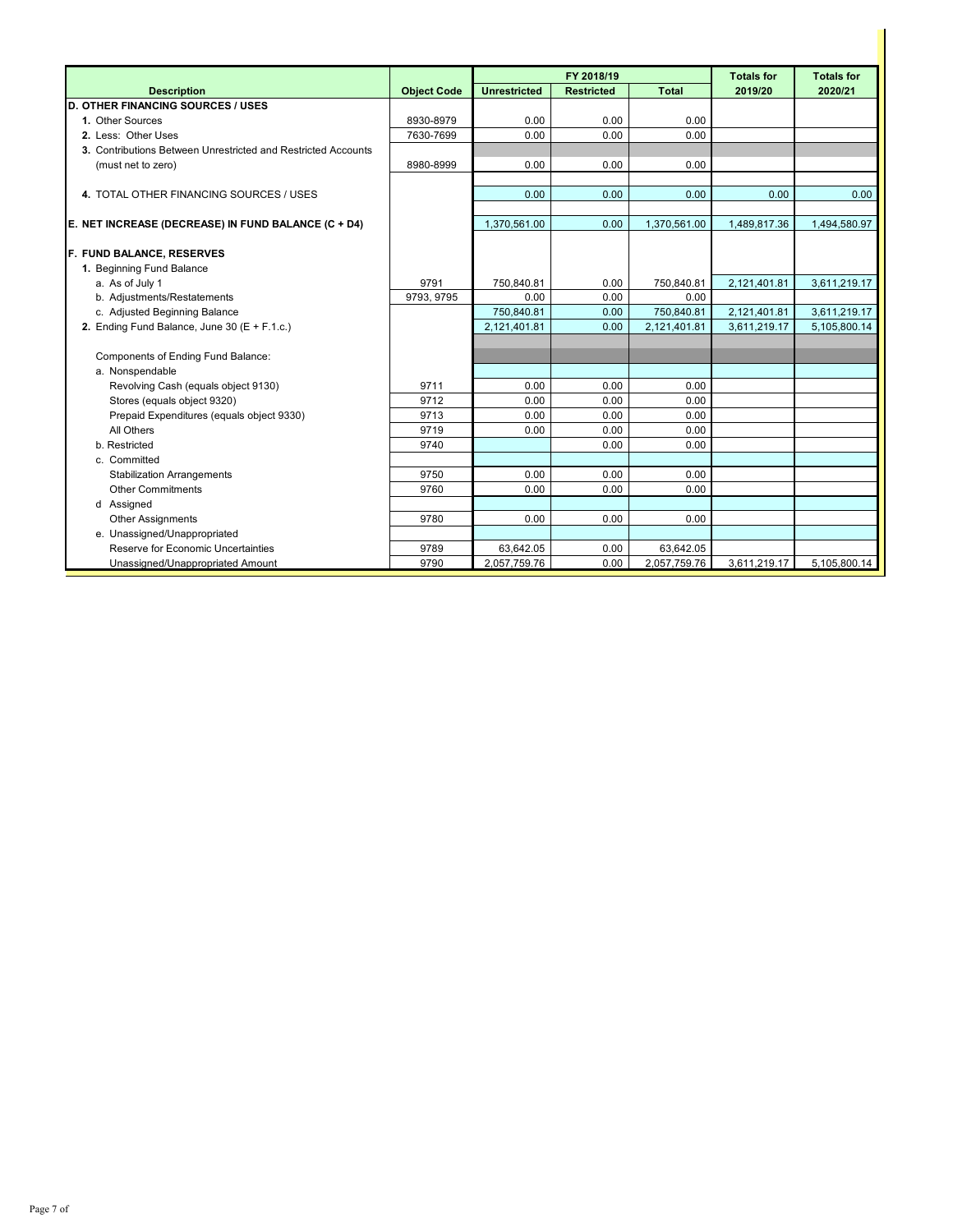|                                                               |                    |                     | FY 2018/19        |                    | <b>Totals for</b> | <b>Totals for</b>            |
|---------------------------------------------------------------|--------------------|---------------------|-------------------|--------------------|-------------------|------------------------------|
| <b>Description</b>                                            | <b>Object Code</b> | <b>Unrestricted</b> | <b>Restricted</b> | <b>Total</b>       | 2019/20           | 2020/21                      |
| <b>D. OTHER FINANCING SOURCES / USES</b>                      |                    |                     |                   |                    |                   |                              |
| 1. Other Sources                                              | 8930-8979          | 0.00                | 0.00              | 0.00               |                   |                              |
| 2. Less: Other Uses                                           | 7630-7699          | 0.00                | 0.00              | 0.00               |                   |                              |
| 3. Contributions Between Unrestricted and Restricted Accounts |                    |                     |                   |                    |                   |                              |
| (must net to zero)                                            | 8980-8999          | 0.00                | 0.00              | 0.00               |                   |                              |
|                                                               |                    |                     |                   |                    |                   |                              |
| 4. TOTAL OTHER FINANCING SOURCES / USES                       |                    | 0.00                | 0.00              | 0.00               | 0.00              | 0.00                         |
|                                                               |                    |                     |                   |                    |                   |                              |
| E. NET INCREASE (DECREASE) IN FUND BALANCE (C + D4)           |                    | 1,370,561.00        | 0.00              | 1,370,561.00       | 1,489,817.36      | 1,494,580.97                 |
|                                                               |                    |                     |                   |                    |                   |                              |
| F. FUND BALANCE, RESERVES                                     |                    |                     |                   |                    |                   |                              |
| 1. Beginning Fund Balance                                     |                    |                     |                   |                    |                   |                              |
| a. As of July 1<br>b. Adjustments/Restatements                | 9791<br>9793, 9795 | 750.840.81<br>0.00  | 0.00<br>0.00      | 750.840.81<br>0.00 | 2,121,401.81      | 3,611,219.17                 |
| c. Adjusted Beginning Balance                                 |                    | 750,840.81          | 0.00              | 750,840.81         | 2,121,401.81      |                              |
| 2. Ending Fund Balance, June 30 (E + F.1.c.)                  |                    | 2,121,401.81        | 0.00              | 2,121,401.81       | 3,611,219.17      | 3,611,219.17<br>5.105.800.14 |
|                                                               |                    |                     |                   |                    |                   |                              |
| Components of Ending Fund Balance:                            |                    |                     |                   |                    |                   |                              |
| a. Nonspendable                                               |                    |                     |                   |                    |                   |                              |
| Revolving Cash (equals object 9130)                           | 9711               | 0.00                | 0.00              | 0.00               |                   |                              |
| Stores (equals object 9320)                                   | 9712               | 0.00                | 0.00              | 0.00               |                   |                              |
| Prepaid Expenditures (equals object 9330)                     | 9713               | 0.00                | 0.00              | 0.00               |                   |                              |
| All Others                                                    | 9719               | 0.00                | 0.00              | 0.00               |                   |                              |
| b. Restricted                                                 | 9740               |                     | 0.00              | 0.00               |                   |                              |
| c. Committed                                                  |                    |                     |                   |                    |                   |                              |
| <b>Stabilization Arrangements</b>                             | 9750               | 0.00                | 0.00              | 0.00               |                   |                              |
| <b>Other Commitments</b>                                      | 9760               | 0.00                | 0.00              | 0.00               |                   |                              |
| d Assigned                                                    |                    |                     |                   |                    |                   |                              |
| <b>Other Assignments</b>                                      | 9780               | 0.00                | 0.00              | 0.00               |                   |                              |
| e. Unassigned/Unappropriated                                  |                    |                     |                   |                    |                   |                              |
| Reserve for Economic Uncertainties                            | 9789               | 63,642.05           | 0.00              | 63,642.05          |                   |                              |
| Unassigned/Unappropriated Amount                              | 9790               | 2,057,759.76        | 0.00              | 2,057,759.76       | 3,611,219.17      | 5,105,800.14                 |